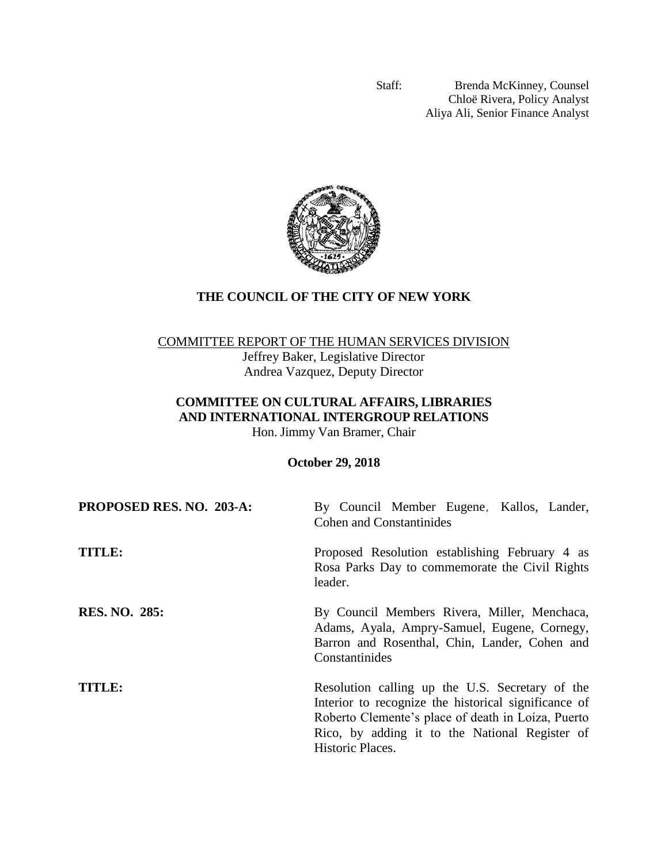Staff: Brenda McKinney, Counsel Chloë Rivera, Policy Analyst Aliya Ali, Senior Finance Analyst



# **THE COUNCIL OF THE CITY OF NEW YORK**

## COMMITTEE REPORT OF THE HUMAN SERVICES DIVISION

Jeffrey Baker, Legislative Director Andrea Vazquez, Deputy Director

# **COMMITTEE ON CULTURAL AFFAIRS, LIBRARIES AND INTERNATIONAL INTERGROUP RELATIONS**

Hon. Jimmy Van Bramer, Chair

**October 29, 2018**

| PROPOSED RES. NO. 203-A: | By Council Member Eugene, Kallos, Lander,<br><b>Cohen and Constantinides</b>                                                                                                                                                        |
|--------------------------|-------------------------------------------------------------------------------------------------------------------------------------------------------------------------------------------------------------------------------------|
| <b>TITLE:</b>            | Proposed Resolution establishing February 4 as<br>Rosa Parks Day to commemorate the Civil Rights<br>leader.                                                                                                                         |
| <b>RES. NO. 285:</b>     | By Council Members Rivera, Miller, Menchaca,<br>Adams, Ayala, Ampry-Samuel, Eugene, Cornegy,<br>Barron and Rosenthal, Chin, Lander, Cohen and<br>Constantinides                                                                     |
| TITLE:                   | Resolution calling up the U.S. Secretary of the<br>Interior to recognize the historical significance of<br>Roberto Clemente's place of death in Loiza, Puerto<br>Rico, by adding it to the National Register of<br>Historic Places. |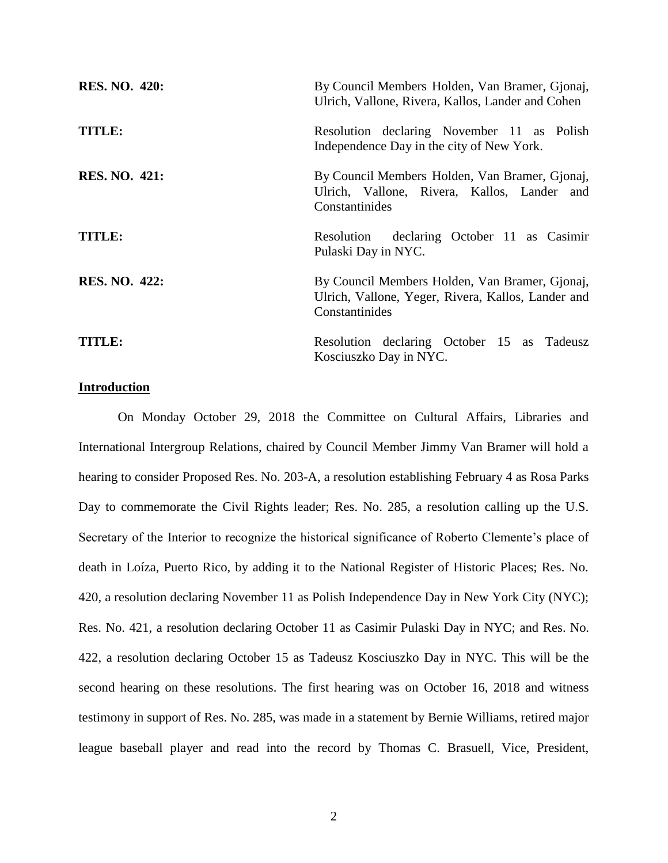| <b>RES. NO. 420:</b> | By Council Members Holden, Van Bramer, Gjonaj,<br>Ulrich, Vallone, Rivera, Kallos, Lander and Cohen                    |
|----------------------|------------------------------------------------------------------------------------------------------------------------|
| TITLE:               | Resolution declaring November 11 as Polish<br>Independence Day in the city of New York.                                |
| <b>RES. NO. 421:</b> | By Council Members Holden, Van Bramer, Gjonaj,<br>Ulrich, Vallone, Rivera, Kallos, Lander and<br>Constantinides        |
| TITLE:               | Resolution declaring October 11 as Casimir<br>Pulaski Day in NYC.                                                      |
| <b>RES. NO. 422:</b> | By Council Members Holden, Van Bramer, Gjonaj,<br>Ulrich, Vallone, Yeger, Rivera, Kallos, Lander and<br>Constantinides |
| TITLE:               | Resolution declaring October 15 as Tadeusz<br>Kosciuszko Day in NYC.                                                   |

## **Introduction**

On Monday October 29, 2018 the Committee on Cultural Affairs, Libraries and International Intergroup Relations, chaired by Council Member Jimmy Van Bramer will hold a hearing to consider Proposed Res. No. 203-A, a resolution establishing February 4 as Rosa Parks Day to commemorate the Civil Rights leader; Res. No. 285, a resolution calling up the U.S. Secretary of the Interior to recognize the historical significance of Roberto Clemente's place of death in Loíza, Puerto Rico, by adding it to the National Register of Historic Places; Res. No. 420, a resolution declaring November 11 as Polish Independence Day in New York City (NYC); Res. No. 421, a resolution declaring October 11 as Casimir Pulaski Day in NYC; and Res. No. 422, a resolution declaring October 15 as Tadeusz Kosciuszko Day in NYC. This will be the second hearing on these resolutions. The first hearing was on October 16, 2018 and witness testimony in support of Res. No. 285, was made in a statement by Bernie Williams, retired major league baseball player and read into the record by Thomas C. Brasuell, Vice, President,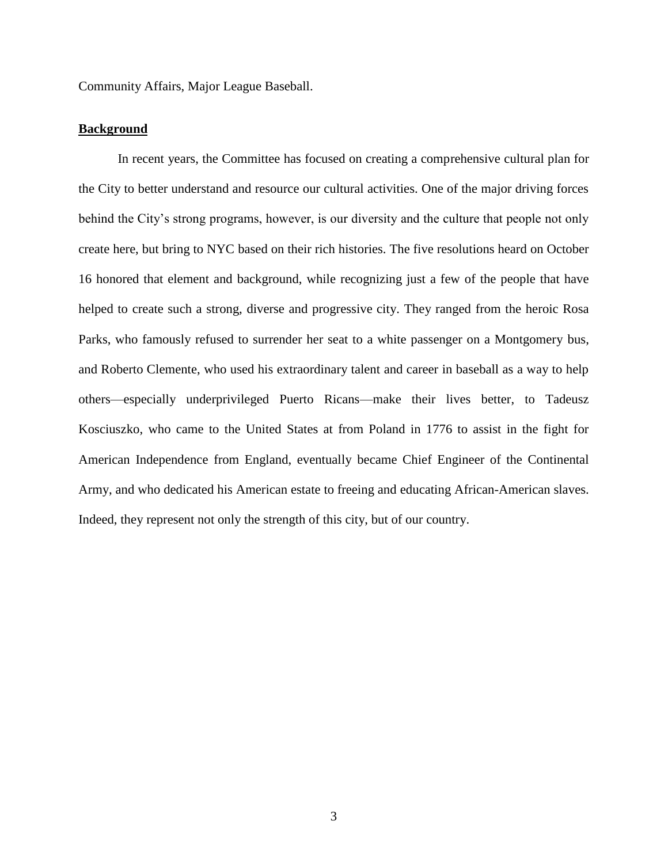Community Affairs, Major League Baseball.

## **Background**

In recent years, the Committee has focused on creating a comprehensive cultural plan for the City to better understand and resource our cultural activities. One of the major driving forces behind the City's strong programs, however, is our diversity and the culture that people not only create here, but bring to NYC based on their rich histories. The five resolutions heard on October 16 honored that element and background, while recognizing just a few of the people that have helped to create such a strong, diverse and progressive city. They ranged from the heroic Rosa Parks, who famously refused to surrender her seat to a white passenger on a Montgomery bus, and Roberto Clemente, who used his extraordinary talent and career in baseball as a way to help others—especially underprivileged Puerto Ricans—make their lives better, to Tadeusz Kosciuszko, who came to the United States at from Poland in 1776 to assist in the fight for American Independence from England, eventually became Chief Engineer of the Continental Army, and who dedicated his American estate to freeing and educating African-American slaves. Indeed, they represent not only the strength of this city, but of our country.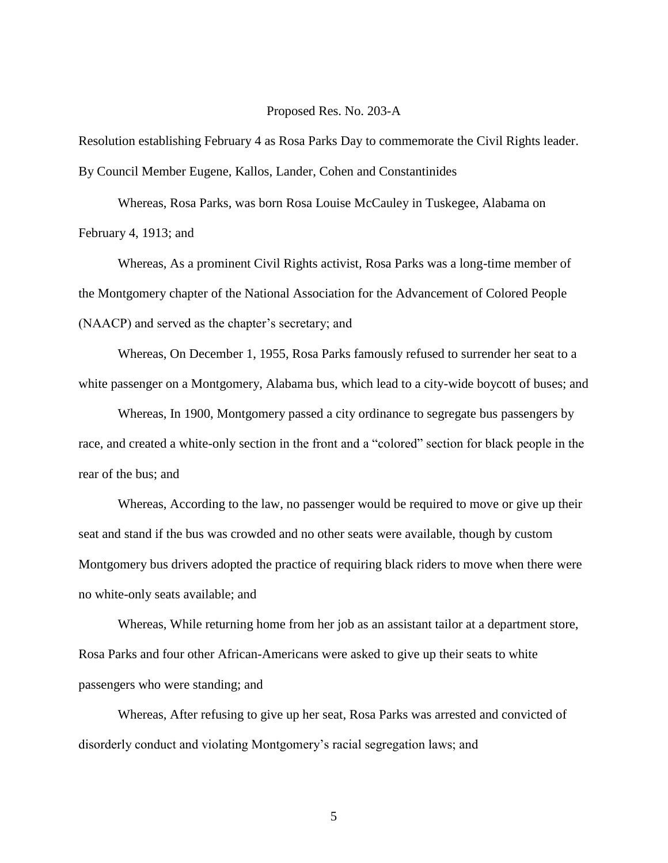## Proposed Res. No. 203-A

Resolution establishing February 4 as Rosa Parks Day to commemorate the Civil Rights leader. By Council Member Eugene, Kallos, Lander, Cohen and Constantinides

Whereas, Rosa Parks, was born Rosa Louise McCauley in Tuskegee, Alabama on February 4, 1913; and

Whereas, As a prominent Civil Rights activist, Rosa Parks was a long-time member of the Montgomery chapter of the National Association for the Advancement of Colored People (NAACP) and served as the chapter's secretary; and

Whereas, On December 1, 1955, Rosa Parks famously refused to surrender her seat to a white passenger on a Montgomery, Alabama bus, which lead to a city-wide boycott of buses; and

Whereas, In 1900, Montgomery passed a city ordinance to segregate bus passengers by race, and created a white-only section in the front and a "colored" section for black people in the rear of the bus; and

Whereas, According to the law, no passenger would be required to move or give up their seat and stand if the bus was crowded and no other seats were available, though by custom Montgomery bus drivers adopted the practice of requiring black riders to move when there were no white-only seats available; and

Whereas, While returning home from her job as an assistant tailor at a department store, Rosa Parks and four other African-Americans were asked to give up their seats to white passengers who were standing; and

Whereas, After refusing to give up her seat, Rosa Parks was arrested and convicted of disorderly conduct and violating Montgomery's racial segregation laws; and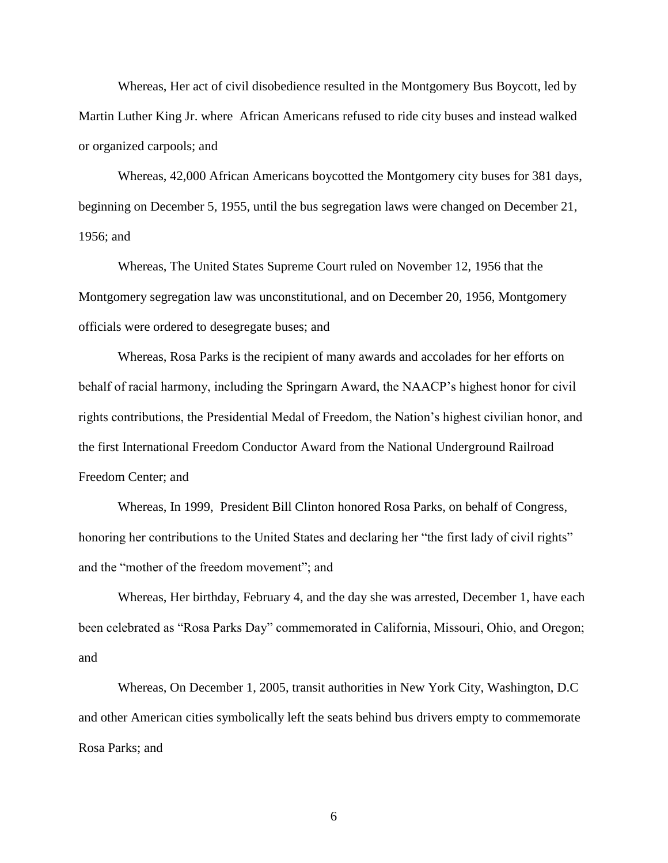Whereas, Her act of civil disobedience resulted in the Montgomery Bus Boycott, led by Martin Luther King Jr. where African Americans refused to ride city buses and instead walked or organized carpools; and

Whereas, 42,000 African Americans boycotted the Montgomery city buses for 381 days, beginning on December 5, 1955, until the bus segregation laws were changed on December 21, 1956; and

Whereas, The United States Supreme Court ruled on November 12, 1956 that the Montgomery segregation law was unconstitutional, and on December 20, 1956, Montgomery officials were ordered to desegregate buses; and

Whereas, Rosa Parks is the recipient of many awards and accolades for her efforts on behalf of racial harmony, including the Springarn Award, the NAACP's highest honor for civil rights contributions, the Presidential Medal of Freedom, the Nation's highest civilian honor, and the first International Freedom Conductor Award from the National Underground Railroad Freedom Center; and

Whereas, In 1999, President Bill Clinton honored Rosa Parks, on behalf of Congress, honoring her contributions to the United States and declaring her "the first lady of civil rights" and the "mother of the freedom movement"; and

Whereas, Her birthday, February 4, and the day she was arrested, December 1, have each been celebrated as "Rosa Parks Day" commemorated in California, Missouri, Ohio, and Oregon; and

Whereas, On December 1, 2005, transit authorities in New York City, Washington, D.C and other American cities symbolically left the seats behind bus drivers empty to commemorate Rosa Parks; and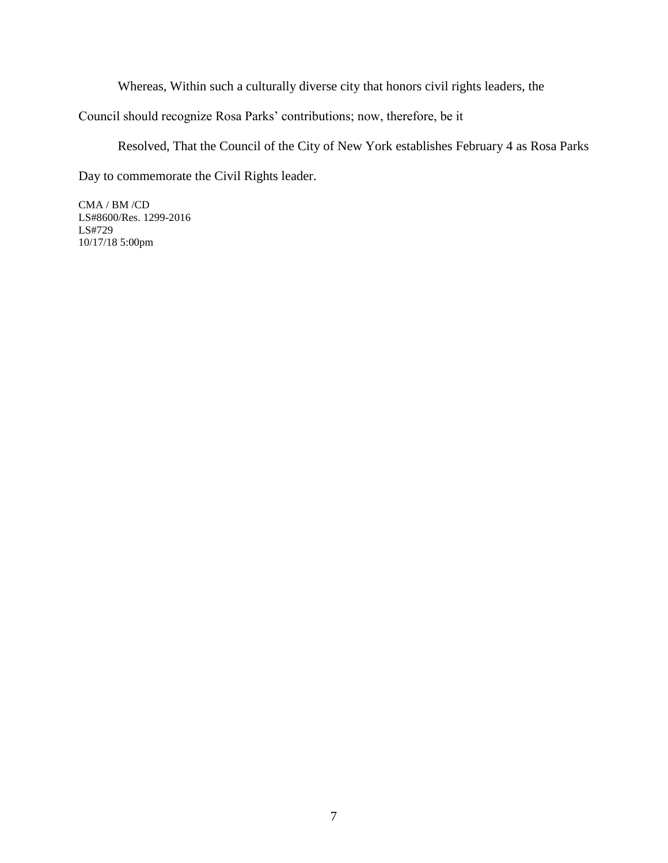Whereas, Within such a culturally diverse city that honors civil rights leaders, the

Council should recognize Rosa Parks' contributions; now, therefore, be it

Resolved, That the Council of the City of New York establishes February 4 as Rosa Parks

Day to commemorate the Civil Rights leader.

CMA / BM /CD LS#8600/Res. 1299-2016 LS#729 10/17/18 5:00pm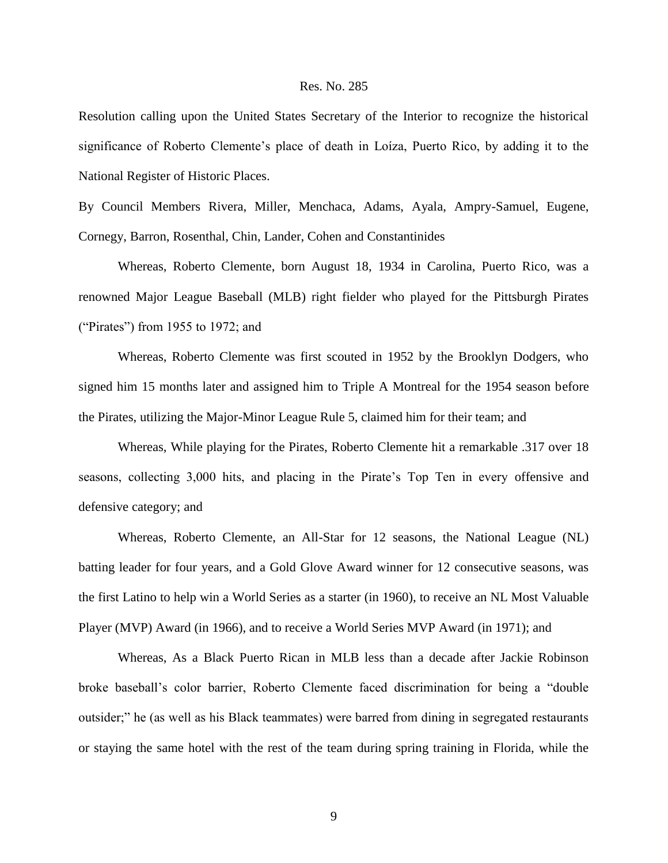Resolution calling upon the United States Secretary of the Interior to recognize the historical significance of Roberto Clemente's place of death in Loíza, Puerto Rico, by adding it to the National Register of Historic Places.

By Council Members Rivera, Miller, Menchaca, Adams, Ayala, Ampry-Samuel, Eugene, Cornegy, Barron, Rosenthal, Chin, Lander, Cohen and Constantinides

Whereas, Roberto Clemente, born August 18, 1934 in Carolina, Puerto Rico, was a renowned Major League Baseball (MLB) right fielder who played for the Pittsburgh Pirates ("Pirates") from 1955 to 1972; and

Whereas, Roberto Clemente was first scouted in 1952 by the Brooklyn Dodgers, who signed him 15 months later and assigned him to Triple A Montreal for the 1954 season before the Pirates, utilizing the Major-Minor League Rule 5, claimed him for their team; and

Whereas, While playing for the Pirates, Roberto Clemente hit a remarkable .317 over 18 seasons, collecting 3,000 hits, and placing in the Pirate's Top Ten in every offensive and defensive category; and

Whereas, Roberto Clemente, an All-Star for 12 seasons, the National League (NL) batting leader for four years, and a Gold Glove Award winner for 12 consecutive seasons, was the first Latino to help win a World Series as a starter (in 1960), to receive an NL Most Valuable Player (MVP) Award (in 1966), and to receive a World Series MVP Award (in 1971); and

Whereas, As a Black Puerto Rican in MLB less than a decade after Jackie Robinson broke baseball's color barrier, Roberto Clemente faced discrimination for being a "double outsider;" he (as well as his Black teammates) were barred from dining in segregated restaurants or staying the same hotel with the rest of the team during spring training in Florida, while the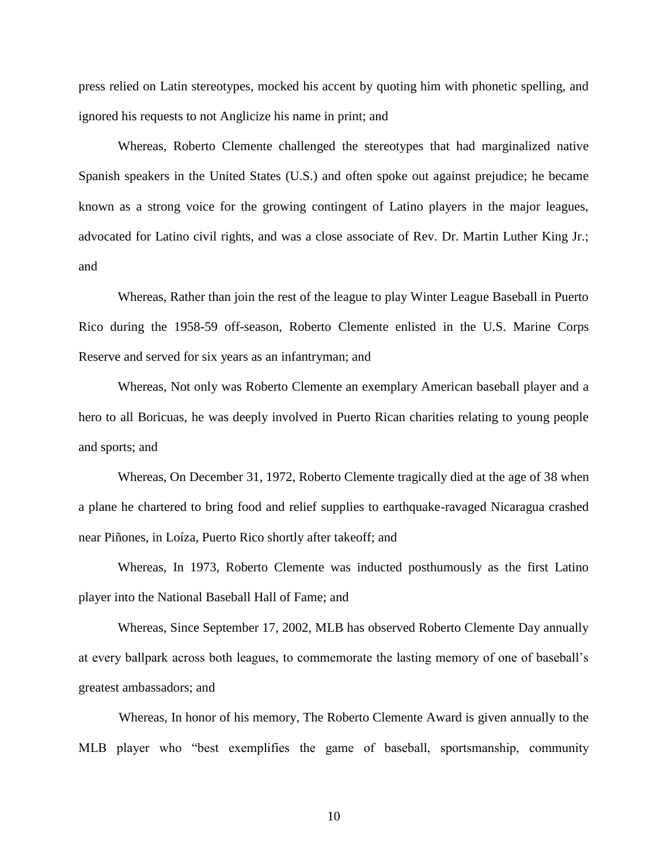press relied on Latin stereotypes, mocked his accent by quoting him with phonetic spelling, and ignored his requests to not Anglicize his name in print; and

Whereas, Roberto Clemente challenged the stereotypes that had marginalized native Spanish speakers in the United States (U.S.) and often spoke out against prejudice; he became known as a strong voice for the growing contingent of Latino players in the major leagues, advocated for Latino civil rights, and was a close associate of Rev. Dr. Martin Luther King Jr.; and

Whereas, Rather than join the rest of the league to play Winter League Baseball in Puerto Rico during the 1958-59 off-season, Roberto Clemente enlisted in the U.S. Marine Corps Reserve and served for six years as an infantryman; and

Whereas, Not only was Roberto Clemente an exemplary American baseball player and a hero to all Boricuas, he was deeply involved in Puerto Rican charities relating to young people and sports; and

Whereas, On December 31, 1972, Roberto Clemente tragically died at the age of 38 when a plane he chartered to bring food and relief supplies to earthquake-ravaged Nicaragua crashed near Piñones, in Loíza, Puerto Rico shortly after takeoff; and

Whereas, In 1973, Roberto Clemente was inducted posthumously as the first Latino player into the National Baseball Hall of Fame; and

Whereas, Since September 17, 2002, MLB has observed Roberto Clemente Day annually at every ballpark across both leagues, to commemorate the lasting memory of one of baseball's greatest ambassadors; and

 Whereas, In honor of his memory, The Roberto Clemente Award is given annually to the MLB player who "best exemplifies the game of baseball, sportsmanship, community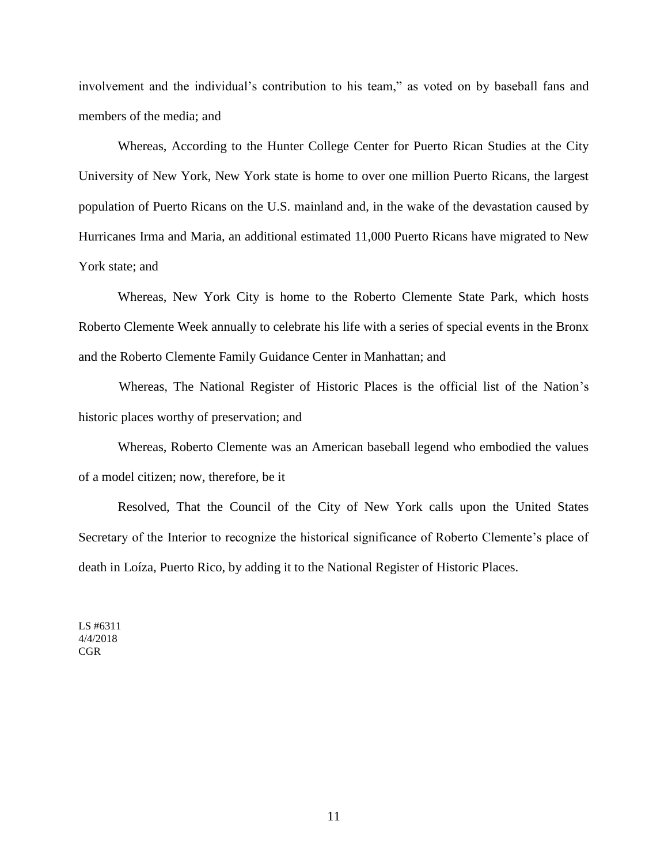involvement and the individual's contribution to his team," as voted on by baseball fans and members of the media; and

Whereas, According to the Hunter College Center for Puerto Rican Studies at the City University of New York, New York state is home to over one million Puerto Ricans, the largest population of Puerto Ricans on the U.S. mainland and, in the wake of the devastation caused by Hurricanes Irma and Maria, an additional estimated 11,000 Puerto Ricans have migrated to New York state; and

Whereas, New York City is home to the Roberto Clemente State Park, which hosts Roberto Clemente Week annually to celebrate his life with a series of special events in the Bronx and the Roberto Clemente Family Guidance Center in Manhattan; and

 Whereas, The National Register of Historic Places is the official list of the Nation's historic places worthy of preservation; and

Whereas, Roberto Clemente was an American baseball legend who embodied the values of a model citizen; now, therefore, be it

Resolved, That the Council of the City of New York calls upon the United States Secretary of the Interior to recognize the historical significance of Roberto Clemente's place of death in Loíza, Puerto Rico, by adding it to the National Register of Historic Places.

LS #6311 4/4/2018 CGR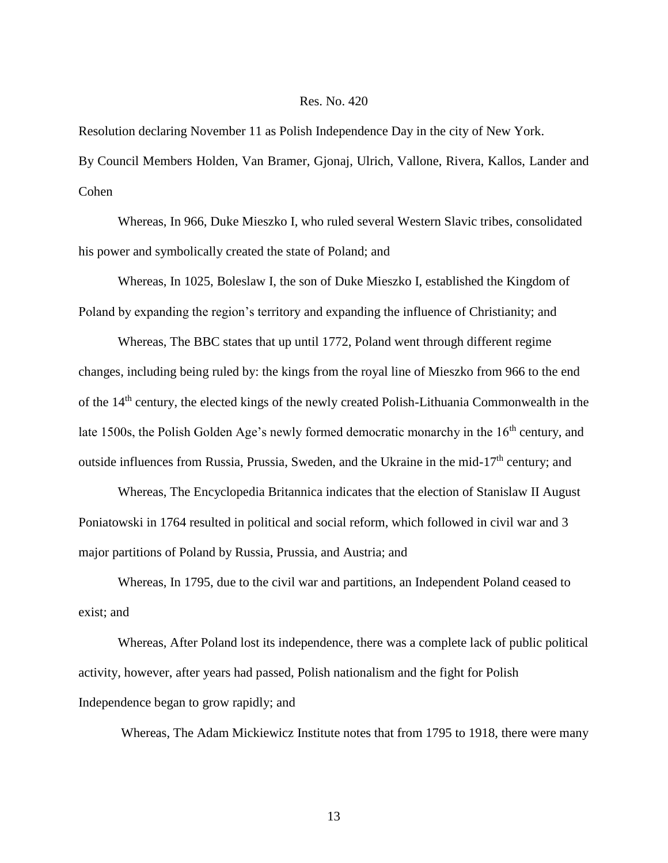Resolution declaring November 11 as Polish Independence Day in the city of New York. By Council Members Holden, Van Bramer, Gjonaj, Ulrich, Vallone, Rivera, Kallos, Lander and Cohen

Whereas, In 966, Duke Mieszko I, who ruled several Western Slavic tribes, consolidated his power and symbolically created the state of Poland; and

Whereas, In 1025, Boleslaw I, the son of Duke Mieszko I, established the Kingdom of Poland by expanding the region's territory and expanding the influence of Christianity; and

Whereas, The BBC states that up until 1772, Poland went through different regime changes, including being ruled by: the kings from the royal line of Mieszko from 966 to the end of the 14th century, the elected kings of the newly created Polish-Lithuania Commonwealth in the late 1500s, the Polish Golden Age's newly formed democratic monarchy in the  $16<sup>th</sup>$  century, and outside influences from Russia, Prussia, Sweden, and the Ukraine in the mid-17<sup>th</sup> century; and

Whereas, The Encyclopedia Britannica indicates that the election of Stanislaw II August Poniatowski in 1764 resulted in political and social reform, which followed in civil war and 3 major partitions of Poland by Russia, Prussia, and Austria; and

Whereas, In 1795, due to the civil war and partitions, an Independent Poland ceased to exist; and

Whereas, After Poland lost its independence, there was a complete lack of public political activity, however, after years had passed, Polish nationalism and the fight for Polish Independence began to grow rapidly; and

Whereas, The Adam Mickiewicz Institute notes that from 1795 to 1918, there were many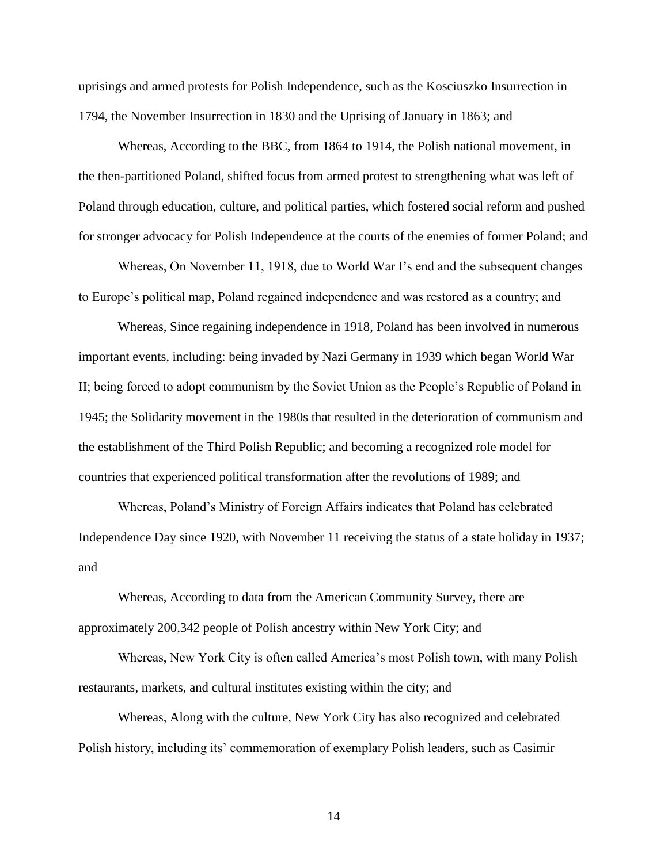uprisings and armed protests for Polish Independence, such as the Kosciuszko Insurrection in 1794, the November Insurrection in 1830 and the Uprising of January in 1863; and

Whereas, According to the BBC, from 1864 to 1914, the Polish national movement, in the then-partitioned Poland, shifted focus from armed protest to strengthening what was left of Poland through education, culture, and political parties, which fostered social reform and pushed for stronger advocacy for Polish Independence at the courts of the enemies of former Poland; and

Whereas, On November 11, 1918, due to World War I's end and the subsequent changes to Europe's political map, Poland regained independence and was restored as a country; and

Whereas, Since regaining independence in 1918, Poland has been involved in numerous important events, including: being invaded by Nazi Germany in 1939 which began World War II; being forced to adopt communism by the Soviet Union as the People's Republic of Poland in 1945; the Solidarity movement in the 1980s that resulted in the deterioration of communism and the establishment of the Third Polish Republic; and becoming a recognized role model for countries that experienced political transformation after the revolutions of 1989; and

Whereas, Poland's Ministry of Foreign Affairs indicates that Poland has celebrated Independence Day since 1920, with November 11 receiving the status of a state holiday in 1937; and

Whereas, According to data from the American Community Survey, there are approximately 200,342 people of Polish ancestry within New York City; and

Whereas, New York City is often called America's most Polish town, with many Polish restaurants, markets, and cultural institutes existing within the city; and

Whereas, Along with the culture, New York City has also recognized and celebrated Polish history, including its' commemoration of exemplary Polish leaders, such as Casimir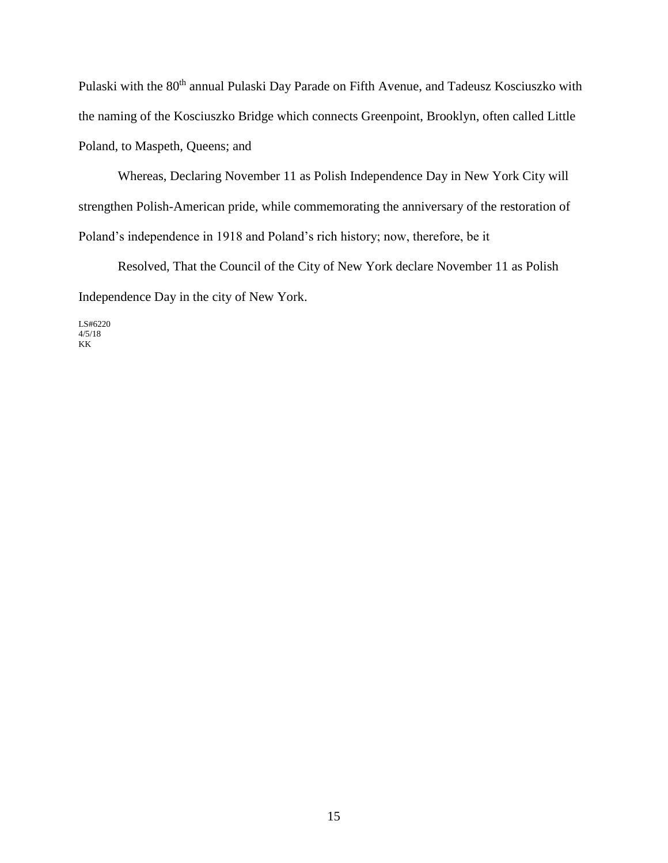Pulaski with the 80<sup>th</sup> annual Pulaski Day Parade on Fifth Avenue, and Tadeusz Kosciuszko with the naming of the Kosciuszko Bridge which connects Greenpoint, Brooklyn, often called Little Poland, to Maspeth, Queens; and

Whereas, Declaring November 11 as Polish Independence Day in New York City will strengthen Polish-American pride, while commemorating the anniversary of the restoration of Poland's independence in 1918 and Poland's rich history; now, therefore, be it

Resolved, That the Council of the City of New York declare November 11 as Polish Independence Day in the city of New York.

LS#6220 4/5/18 KK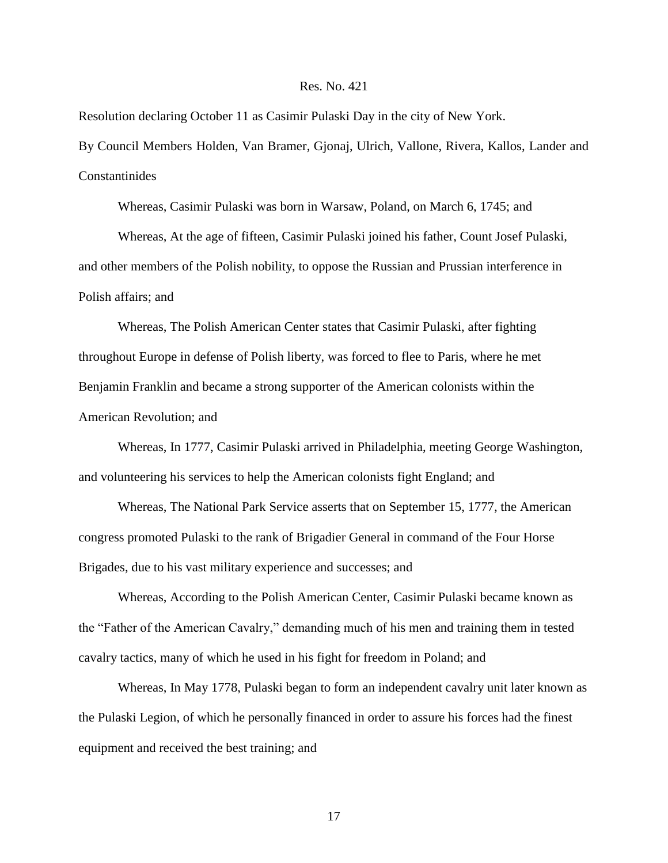Resolution declaring October 11 as Casimir Pulaski Day in the city of New York. By Council Members Holden, Van Bramer, Gjonaj, Ulrich, Vallone, Rivera, Kallos, Lander and Constantinides

Whereas, Casimir Pulaski was born in Warsaw, Poland, on March 6, 1745; and

Whereas, At the age of fifteen, Casimir Pulaski joined his father, Count Josef Pulaski, and other members of the Polish nobility, to oppose the Russian and Prussian interference in Polish affairs; and

Whereas, The Polish American Center states that Casimir Pulaski, after fighting throughout Europe in defense of Polish liberty, was forced to flee to Paris, where he met Benjamin Franklin and became a strong supporter of the American colonists within the American Revolution; and

Whereas, In 1777, Casimir Pulaski arrived in Philadelphia, meeting George Washington, and volunteering his services to help the American colonists fight England; and

Whereas, The National Park Service asserts that on September 15, 1777, the American congress promoted Pulaski to the rank of Brigadier General in command of the Four Horse Brigades, due to his vast military experience and successes; and

Whereas, According to the Polish American Center, Casimir Pulaski became known as the "Father of the American Cavalry," demanding much of his men and training them in tested cavalry tactics, many of which he used in his fight for freedom in Poland; and

Whereas, In May 1778, Pulaski began to form an independent cavalry unit later known as the Pulaski Legion, of which he personally financed in order to assure his forces had the finest equipment and received the best training; and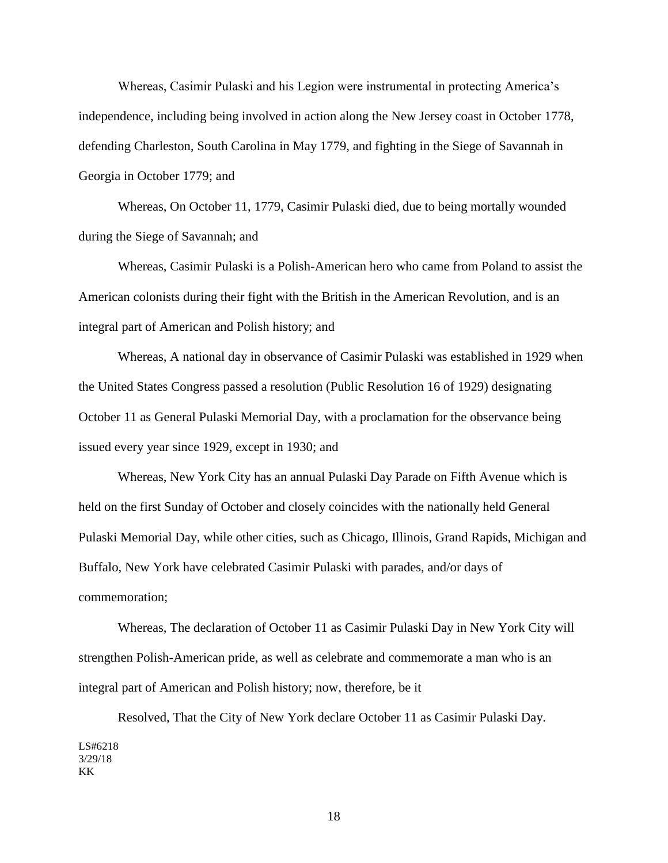Whereas, Casimir Pulaski and his Legion were instrumental in protecting America's independence, including being involved in action along the New Jersey coast in October 1778, defending Charleston, South Carolina in May 1779, and fighting in the Siege of Savannah in Georgia in October 1779; and

Whereas, On October 11, 1779, Casimir Pulaski died, due to being mortally wounded during the Siege of Savannah; and

Whereas, Casimir Pulaski is a Polish-American hero who came from Poland to assist the American colonists during their fight with the British in the American Revolution, and is an integral part of American and Polish history; and

Whereas, A national day in observance of Casimir Pulaski was established in 1929 when the United States Congress passed a resolution (Public Resolution 16 of 1929) designating October 11 as General Pulaski Memorial Day, with a proclamation for the observance being issued every year since 1929, except in 1930; and

Whereas, New York City has an annual Pulaski Day Parade on Fifth Avenue which is held on the first Sunday of October and closely coincides with the nationally held General Pulaski Memorial Day, while other cities, such as Chicago, Illinois, Grand Rapids, Michigan and Buffalo, New York have celebrated Casimir Pulaski with parades, and/or days of commemoration;

Whereas, The declaration of October 11 as Casimir Pulaski Day in New York City will strengthen Polish-American pride, as well as celebrate and commemorate a man who is an integral part of American and Polish history; now, therefore, be it

Resolved, That the City of New York declare October 11 as Casimir Pulaski Day. LS#6218 3/29/18 KK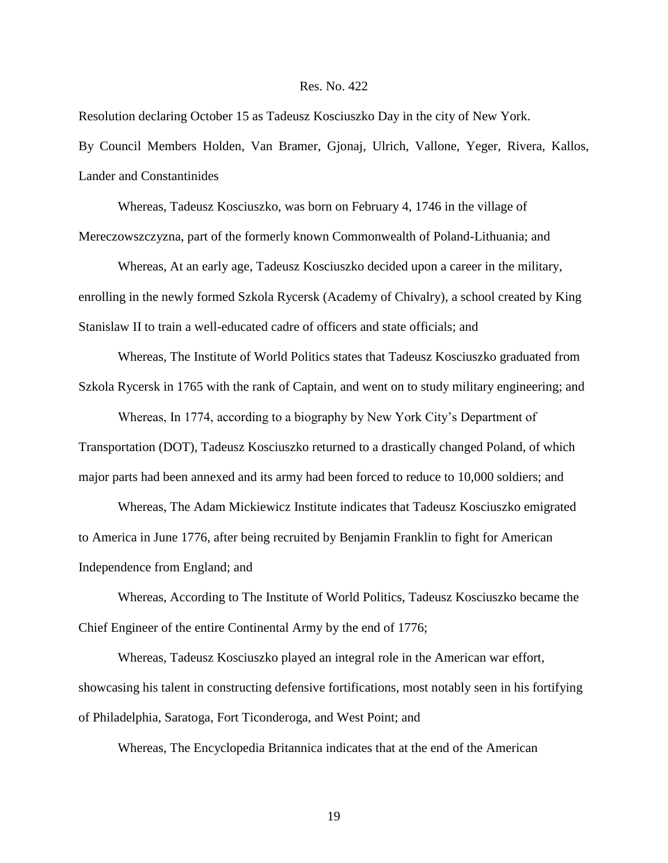Resolution declaring October 15 as Tadeusz Kosciuszko Day in the city of New York. By Council Members Holden, Van Bramer, Gjonaj, Ulrich, Vallone, Yeger, Rivera, Kallos, Lander and Constantinides

Whereas, Tadeusz Kosciuszko, was born on February 4, 1746 in the village of Mereczowszczyzna, part of the formerly known Commonwealth of Poland-Lithuania; and

Whereas, At an early age, Tadeusz Kosciuszko decided upon a career in the military, enrolling in the newly formed Szkola Rycersk (Academy of Chivalry), a school created by King Stanislaw II to train a well-educated cadre of officers and state officials; and

Whereas, The Institute of World Politics states that Tadeusz Kosciuszko graduated from Szkola Rycersk in 1765 with the rank of Captain, and went on to study military engineering; and

Whereas, In 1774, according to a biography by New York City's Department of Transportation (DOT), Tadeusz Kosciuszko returned to a drastically changed Poland, of which major parts had been annexed and its army had been forced to reduce to 10,000 soldiers; and

Whereas, The Adam Mickiewicz Institute indicates that Tadeusz Kosciuszko emigrated to America in June 1776, after being recruited by Benjamin Franklin to fight for American Independence from England; and

Whereas, According to The Institute of World Politics, Tadeusz Kosciuszko became the Chief Engineer of the entire Continental Army by the end of 1776;

Whereas, Tadeusz Kosciuszko played an integral role in the American war effort, showcasing his talent in constructing defensive fortifications, most notably seen in his fortifying of Philadelphia, Saratoga, Fort Ticonderoga, and West Point; and

Whereas, The Encyclopedia Britannica indicates that at the end of the American